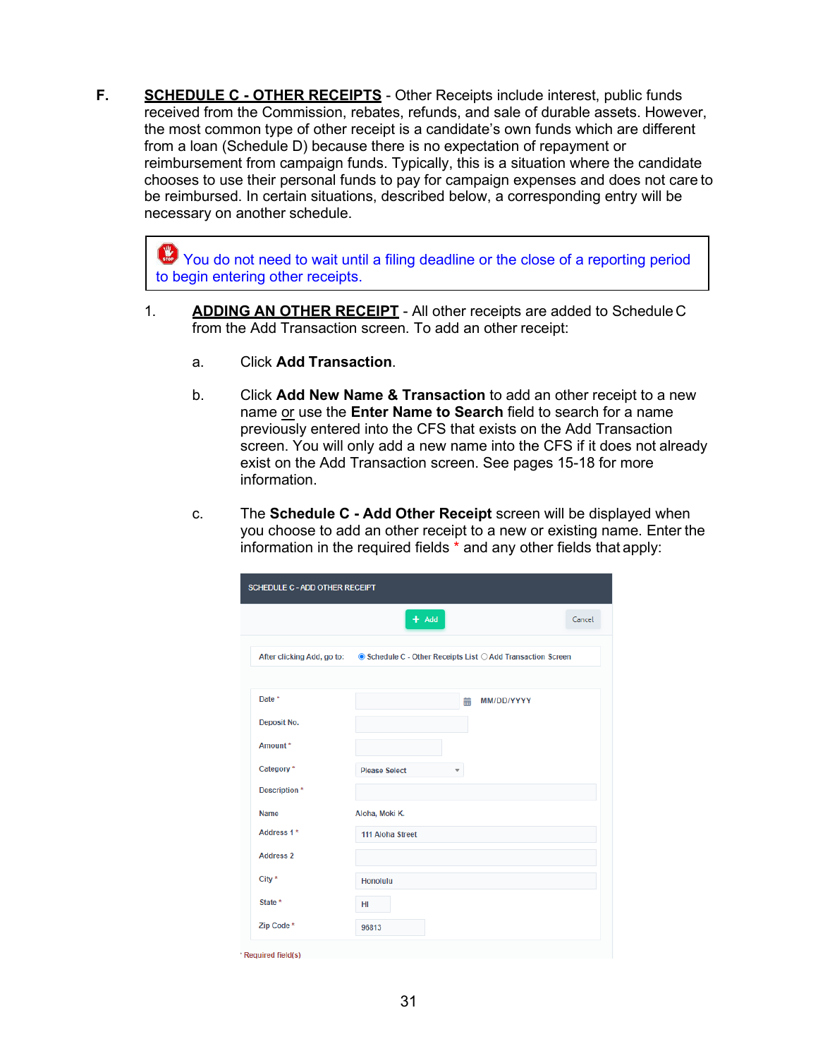**F. SCHEDULE C - OTHER RECEIPTS** - Other Receipts include interest, public funds received from the Commission, rebates, refunds, and sale of durable assets. However, the most common type of other receipt is a candidate's own funds which are different from a loan (Schedule D) because there is no expectation of repayment or reimbursement from campaign funds. Typically, this is a situation where the candidate chooses to use their personal funds to pay for campaign expenses and does not care to be reimbursed. In certain situations, described below, a corresponding entry will be necessary on another schedule.

You do not need to wait until a filing deadline or the close of a reporting period to begin entering other receipts.

- 1. **ADDING AN OTHER RECEIPT** All other receipts are added to Schedule C from the Add Transaction screen. To add an other receipt:
	- a. Click **Add Transaction**.
	- b. Click **Add New Name & Transaction** to add an other receipt to a new name or use the **Enter Name to Search** field to search for a name previously entered into the CFS that exists on the Add Transaction screen. You will only add a new name into the CFS if it does not already exist on the Add Transaction screen. See pages 15-18 for more information.
	- c. The **Schedule C - Add Other Receipt** screen will be displayed when you choose to add an other receipt to a new or existing name. Enter the information in the required fields \* and any other fields that apply:

|                  | $+$ Add                                                                                | Cancel |
|------------------|----------------------------------------------------------------------------------------|--------|
|                  | After clicking Add, go to: ● Schedule C - Other Receipts List ○ Add Transaction Screen |        |
| Date *           | 譱<br>MM/DD/YYYY                                                                        |        |
| Deposit No.      |                                                                                        |        |
| Amount*          |                                                                                        |        |
| Category*        | <b>Please Select</b><br>$\overline{\phantom{a}}$                                       |        |
| Description *    |                                                                                        |        |
| <b>Name</b>      | Aloha, Moki K.                                                                         |        |
| Address 1*       | 111 Aloha Street                                                                       |        |
| <b>Address 2</b> |                                                                                        |        |
| City $*$         | <b>Honolulu</b>                                                                        |        |
| State *          | HI                                                                                     |        |
| Zip Code*        | 96813                                                                                  |        |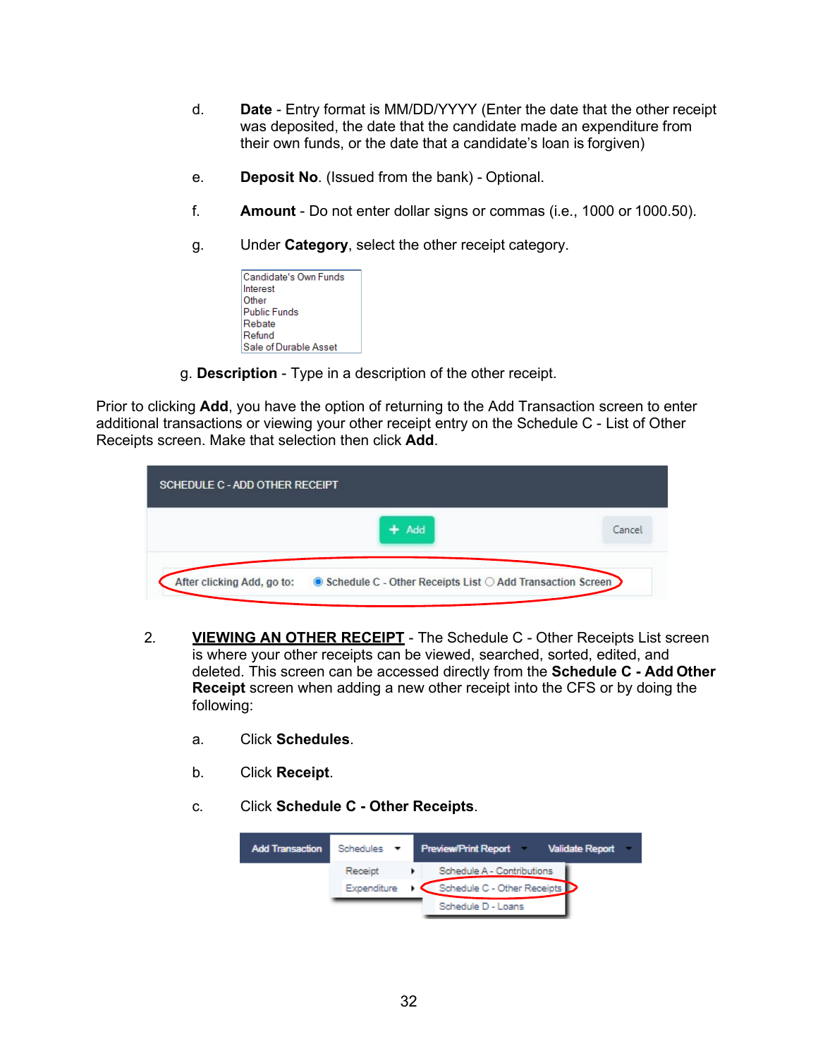- d. **Date**  Entry format is MM/DD/YYYY (Enter the date that the other receipt was deposited, the date that the candidate made an expenditure from their own funds, or the date that a candidate's loan is forgiven)
- e. **Deposit No**. (Issued from the bank) Optional.
- f. **Amount**  Do not enter dollar signs or commas (i.e., 1000 or 1000.50).
- g. Under **Category**, select the other receipt category.

| Candidate's Own Funds |
|-----------------------|
| Interest              |
| Other                 |
| <b>Public Funds</b>   |
| Rebate                |
| Refund                |
| Sale of Durable Asset |

g. **Description** - Type in a description of the other receipt.

Prior to clicking **Add**, you have the option of returning to the Add Transaction screen to enter additional transactions or viewing your other receipt entry on the Schedule C - List of Other Receipts screen. Make that selection then click **Add**.

| <b>SCHEDULE C - ADD OTHER RECEIPT</b> |                                                             |        |
|---------------------------------------|-------------------------------------------------------------|--------|
|                                       | Add<br>÷                                                    | Cancel |
| After clicking Add, go to:            | ● Schedule C - Other Receipts List ○ Add Transaction Screen |        |

- 2. **VIEWING AN OTHER RECEIPT** The Schedule C Other Receipts List screen is where your other receipts can be viewed, searched, sorted, edited, and deleted. This screen can be accessed directly from the **Schedule C - Add Other Receipt** screen when adding a new other receipt into the CFS or by doing the following:
	- a. Click **Schedules**.
	- b. Click **Receipt**.
	- c. Click **Schedule C - Other Receipts**.

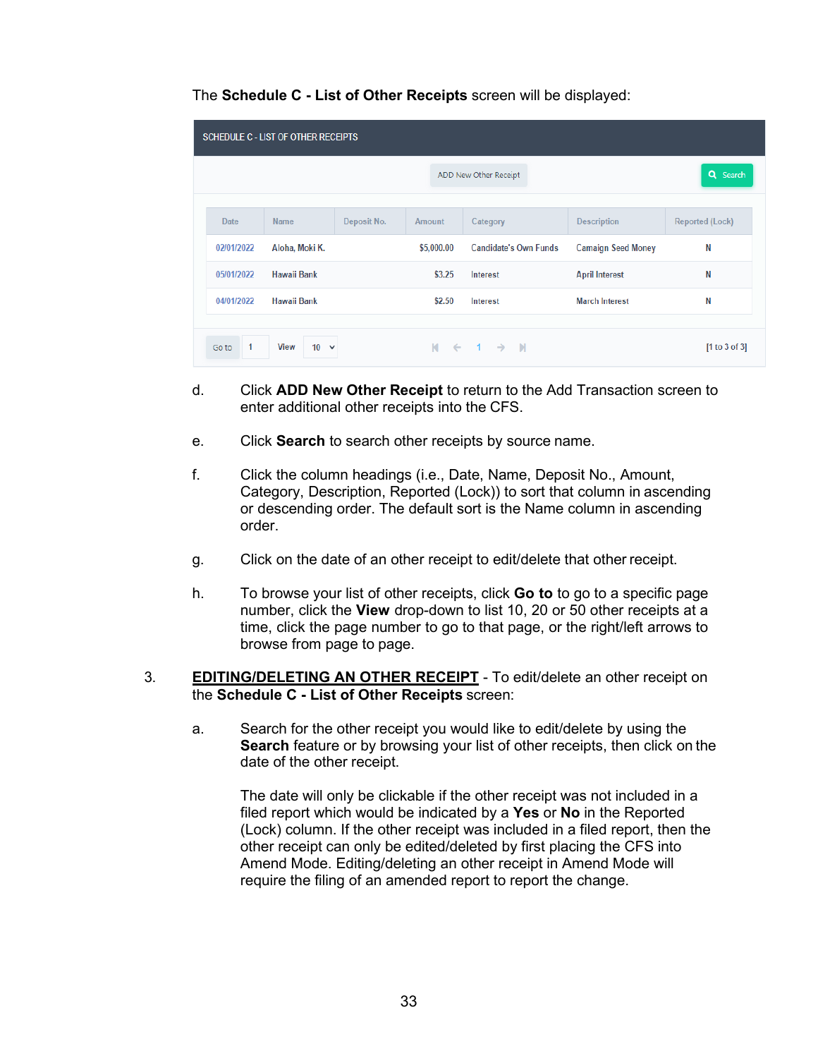|            | <b>SCHEDULE C - LIST OF OTHER RECEIPTS</b> |             |                |                              |                           |                        |
|------------|--------------------------------------------|-------------|----------------|------------------------------|---------------------------|------------------------|
|            |                                            |             |                | ADD New Other Receipt        |                           | Q Search               |
| Date       | <b>Name</b>                                | Deposit No. | <b>Amount</b>  | Category                     | <b>Description</b>        | <b>Reported (Lock)</b> |
| 02/01/2022 | Aloha, Moki K.                             |             | \$5,000.00     | <b>Candidate's Own Funds</b> | <b>Camaign Seed Money</b> | N                      |
| 05/01/2022 | <b>Hawaii Bank</b>                         |             | \$3.25         | Interest                     | <b>April Interest</b>     | N                      |
| 04/01/2022 | Hawaii Bank                                |             | \$2.50         | Interest                     | <b>March Interest</b>     | N                      |
|            |                                            |             |                |                              |                           |                        |
| 1<br>Go to | <b>View</b><br>$10 \times$                 |             | $M \leftarrow$ | $1 \rightarrow N$            |                           | [1 to 3 of 3]          |

- d. Click **ADD New Other Receipt** to return to the Add Transaction screen to enter additional other receipts into the CFS.
- e. Click **Search** to search other receipts by source name.
- f. Click the column headings (i.e., Date, Name, Deposit No., Amount, Category, Description, Reported (Lock)) to sort that column in ascending or descending order. The default sort is the Name column in ascending order.
- g. Click on the date of an other receipt to edit/delete that other receipt.
- h. To browse your list of other receipts, click **Go to** to go to a specific page number, click the **View** drop-down to list 10, 20 or 50 other receipts at a time, click the page number to go to that page, or the right/left arrows to browse from page to page.
- 3. **EDITING/DELETING AN OTHER RECEIPT** To edit/delete an other receipt on the **Schedule C - List of Other Receipts** screen:
	- a. Search for the other receipt you would like to edit/delete by using the **Search** feature or by browsing your list of other receipts, then click on the date of the other receipt.

The date will only be clickable if the other receipt was not included in a filed report which would be indicated by a **Yes** or **No** in the Reported (Lock) column. If the other receipt was included in a filed report, then the other receipt can only be edited/deleted by first placing the CFS into Amend Mode. Editing/deleting an other receipt in Amend Mode will require the filing of an amended report to report the change.